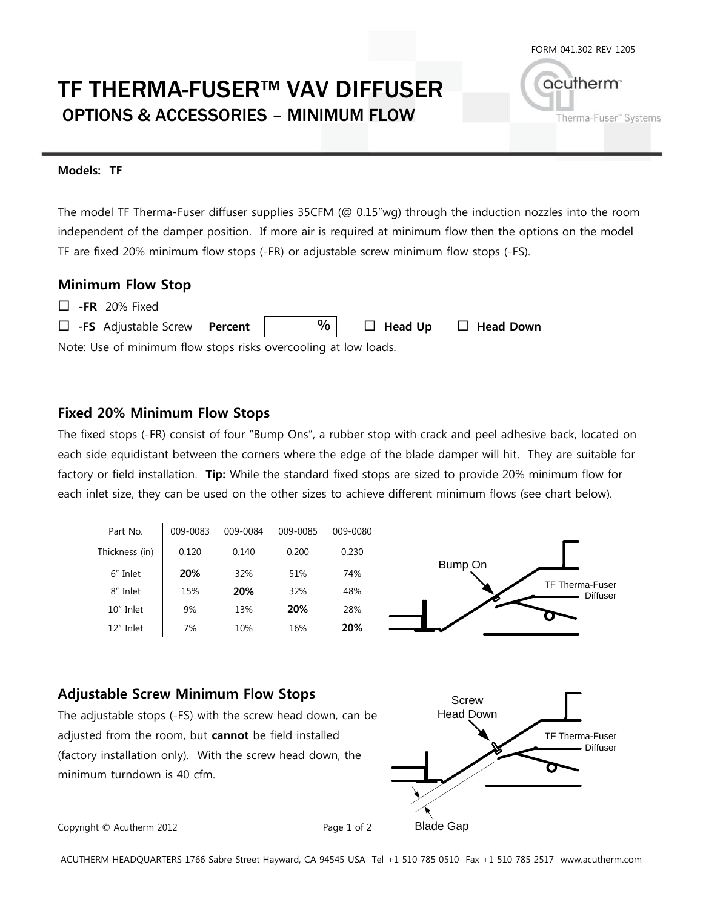acutherm<sup>®</sup>

Therma-Fuser" Systems

# TF THERMA-FUSER™ VAV DIFFUSER OPTIONS & ACCESSORIES – MINIMUM FLOW

#### **Models: TF**

The model TF Therma-Fuser diffuser supplies 35CFM (@ 0.15"wg) through the induction nozzles into the room independent of the damper position. If more air is required at minimum flow then the options on the model TF are fixed 20% minimum flow stops (-FR) or adjustable screw minimum flow stops (-FS).

#### **Minimum Flow Stop**

| $\Box$ -FR 20% Fixed |  |
|----------------------|--|
|----------------------|--|

| $\Box$ -FS Adjustable Screw Percent                             |  | $\%$ |  | $\Box$ Head Up $\Box$ Head Down |  |
|-----------------------------------------------------------------|--|------|--|---------------------------------|--|
| Note: Use of minimum flow stops risks overcooling at low loads. |  |      |  |                                 |  |

#### **Fixed 20% Minimum Flow Stops**

The fixed stops (-FR) consist of four "Bump Ons", a rubber stop with crack and peel adhesive back, located on each side equidistant between the corners where the edge of the blade damper will hit. They are suitable for factory or field installation. **Tip:** While the standard fixed stops are sized to provide 20% minimum flow for each inlet size, they can be used on the other sizes to achieve different minimum flows (see chart below).



#### **Adjustable Screw Minimum Flow Stops**

The adjustable stops (-FS) with the screw head down, can be adjusted from the room, but **cannot** be field installed (factory installation only). With the screw head down, the minimum turndown is 40 cfm.



Copyright © Acutherm 2012 Page 1 of 2